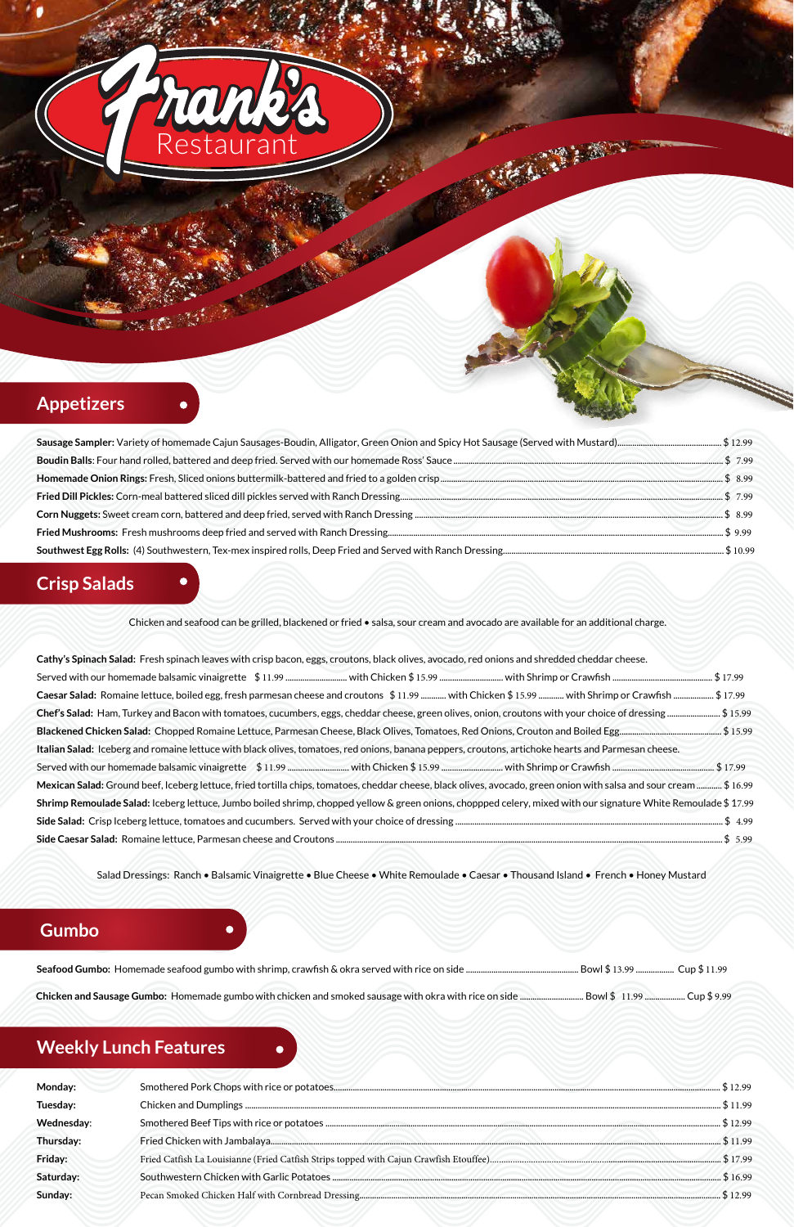

**Seafood Gumbo:** Homemade seafood gumbo with shrimp, crawfish & okra served with rice on side ..................................................... Bowl \$ 13.99 .................. Cup \$ 11.99

**Chicken and Sausage Gumbo:** Homemade gumbo with chicken and smoked sausage with okra with rice on side .............................. Bowl \$ 11.99 ................... Cup \$ 9.99

## **Crisp Salads**

Chicken and seafood can be grilled, blackened or fried • salsa, sour cream and avocado are available for an additional charge.

| Cathy's Spinach Salad: Fresh spinach leaves with crisp bacon, eggs, croutons, black olives, avocado, red onions and shredded cheddar cheese.                                        |
|-------------------------------------------------------------------------------------------------------------------------------------------------------------------------------------|
|                                                                                                                                                                                     |
| Caesar Salad: Romaine lettuce, boiled egg, fresh parmesan cheese and croutons \$11.99  with Chicken \$15.99  with Shrimp or Crawfish  \$17.99                                       |
| Chef's Salad: Ham, Turkey and Bacon with tomatoes, cucumbers, eggs, cheddar cheese, green olives, onion, croutons with your choice of dressing \$ 15.99                             |
|                                                                                                                                                                                     |
| Italian Salad: Iceberg and romaine lettuce with black olives, tomatoes, red onions, banana peppers, croutons, artichoke hearts and Parmesan cheese.                                 |
|                                                                                                                                                                                     |
| 16.99 \$\$ 16.99 Mexican Salad: Ground beef, Iceberg lettuce, fried tortilla chips, tomatoes, cheddar cheese, black olives, avocado, green onion with salsa and sour cream \$ 16.99 |
| Shrimp Remoulade Salad: Iceberg lettuce, Jumbo boiled shrimp, chopped yellow & green onions, choppped celery, mixed with our signature White Remoulade \$17.99                      |
|                                                                                                                                                                                     |
|                                                                                                                                                                                     |

Salad Dressings: Ranch • Balsamic Vinaigrette • Blue Cheese • White Remoulade • Caesar • Thousand Island • French • Honey Mustard

# **Appetizers**

Restauran

## **Weekly Lunch Features**

 $\bullet$ 

| Monday:    | 512.99              |
|------------|---------------------|
| Tuesday:   | \$11.99             |
| Wednesday: | \$12.99             |
| Thursday:  | 511.99              |
| Friday:    |                     |
| Saturday:  | $\cancel{0.516.99}$ |
| Sunday:    |                     |